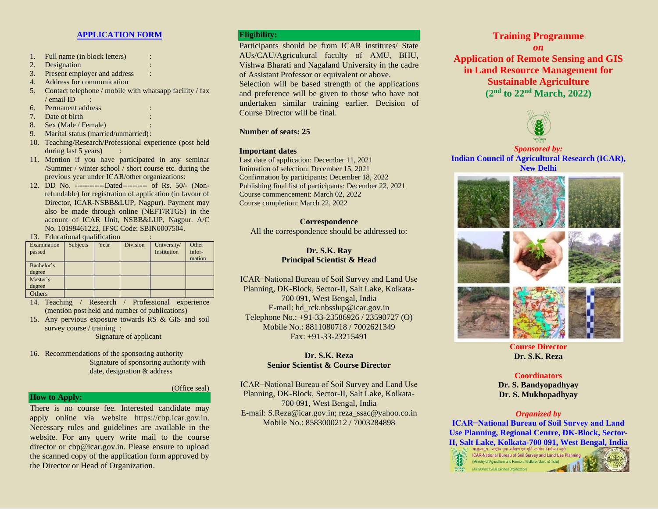## **APPLICATION FORM**

- 1. Full name (in block letters) :
- 2. Designation
- 3. Present employer and address :
- 4. Address for communication
- 5. Contact telephone / mobile with whatsapp facility / fax / email ID :
- 6. Permanent address :
- 7. Date of birth
- 8. Sex (Male / Female) :
- 9. Marital status (married/unmarried):
- 10. Teaching/Research/Professional experience (post held during last 5 years)
- 11. Mention if you have participated in any seminar /Summer / winter school / short course etc. during the previous year under ICAR/other organizations:
- 12. DD No. ------------Dated---------- of Rs. 50/- (Nonrefundable) for registration of application (in favour of Director, ICAR-NSBB&LUP, Nagpur). Payment may also be made through online (NEFT/RTGS) in the account of ICAR Unit, NSBB&LUP, Nagpur. A/C No. 10199461222, IFSC Code: SBIN0007504.
- 13. Educational qualification :

| Examination | <b>Subjects</b> | Year | <b>Division</b> | University/ | Other  |
|-------------|-----------------|------|-----------------|-------------|--------|
| passed      |                 |      |                 | Institution | infor- |
|             |                 |      |                 |             | mation |
| Bachelor's  |                 |      |                 |             |        |
| degree      |                 |      |                 |             |        |
| Master's    |                 |      |                 |             |        |
| degree      |                 |      |                 |             |        |
| Others      |                 |      |                 |             |        |

- 14. Teaching / Research / Professional experience (mention post held and number of publications)
- 15. Any pervious exposure towards RS & GIS and soil survey course / training :

Signature of applicant

16. Recommendations of the sponsoring authority Signature of sponsoring authority with date, designation & address

#### (Office seal)

## **How to Apply:**

There is no course fee. Interested candidate may apply online via website https://cbp.icar.gov.in. Necessary rules and guidelines are available in the website. For any query write mail to the course director or cbp@icar.gov.in. Please ensure to upload the scanned copy of the application form approved by the Director or Head of Organization.

## **Eligibility:**

Participants should be from ICAR institutes/ State AUs/CAU/Agricultural faculty of AMU, BHU, Vishwa Bharati and Nagaland University in the cadre of Assistant Professor or equivalent or above.

Selection will be based strength of the applications and preference will be given to those who have not undertaken similar training earlier. Decision of Course Director will be final.

## **Number of seats: 25**

### **Important dates**

Last date of application: December 11, 2021 Intimation of selection: December 15, 2021 Confirmation by participants: December 18, 2022 Publishing final list of participants: December 22, 2021 Course commencement: March 02, 2022 Course completion: March 22, 2022

## **Correspondence**

All the correspondence should be addressed to:

## **Dr. S.K. Ray Principal Scientist & Head**

ICAR−National Bureau of Soil Survey and Land Use Planning, DK-Block, Sector-II, Salt Lake, Kolkata-700 091, West Bengal, India E-mail: hd\_rck.nbsslup@icar.gov.in Telephone No.: +91-33-23586926 / 23590727 (O) Mobile No.: 8811080718 / 7002621349 Fax: +91-33-23215491

## **Dr. S.K. Reza Senior Scientist & Course Director**

ICAR−National Bureau of Soil Survey and Land Use Planning, DK-Block, Sector-II, Salt Lake, Kolkata-700 091, West Bengal, India E-mail: S.Reza@icar.gov.in; reza\_ssac@yahoo.co.in Mobile No.: 8583000212 / 7003284898

## **Training Programme**

*on* **Application of Remote Sensing and GIS in Land Resource Management for Sustainable Agriculture (2 nd to 22 nd March, 2022)**



*Sponsored by:* **Indian Council of Agricultural Research (ICAR), New Delhi**



# **Dr. S.K. Reza**

## **Coordinators**

**Dr. S. Bandyopadhyay Dr. S. Mukhopadhyay**

## *Organized by*

**ICAR−National Bureau of Soil Survey and Land Use Planning, Regional Centre, DK-Block, Sector-II, Salt Lake, Kolkata-700 091, West Bengal, India**

ICAR-National Bureau of Soil Survey and Land Use Planning (Ministry of Agriculture and Farmers Welfare, Govt. of India) (An ISO 9001:2008 Certified Organization)